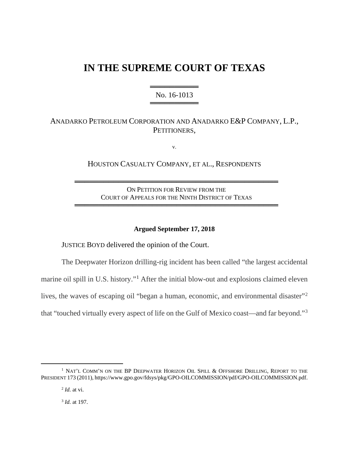# **IN THE SUPREME COURT OF TEXAS**

══════════════ No. 16-1013 ═══════════════════════

# ANADARKO PETROLEUM CORPORATION AND ANADARKO E&P COMPANY, L.P., PETITIONERS,

v.

HOUSTON CASUALTY COMPANY, ET AL., RESPONDENTS

ON PETITION FOR REVIEW FROM THE COURT OF APPEALS FOR THE NINTH DISTRICT OF TEXAS

══════════════════════════════════════════

══════════════════════════════════════════

#### **Argued September 17, 2018**

JUSTICE BOYD delivered the opinion of the Court.

The Deepwater Horizon drilling-rig incident has been called "the largest accidental marine oil spill in U.S. history."[1](#page-0-0) After the initial blow-out and explosions claimed eleven lives, the waves of escaping oil "began a human, economic, and environmental disaster"<sup>[2](#page-0-1)</sup> that "touched virtually every aspect of life on the Gulf of Mexico coast—and far beyond."[3](#page-0-2)

<sup>3</sup> *Id.* at 197.

<span id="page-0-2"></span><span id="page-0-1"></span><span id="page-0-0"></span><sup>&</sup>lt;sup>1</sup> NAT'L COMM'N ON THE BP DEEPWATER HORIZON OIL SPILL & OFFSHORE DRILLING, REPORT TO THE PRESIDENT 173 (2011), https://www.gpo.gov/fdsys/pkg/GPO-OILCOMMISSION/pdf/GPO-OILCOMMISSION.pdf.

<sup>2</sup> *Id.* at vi.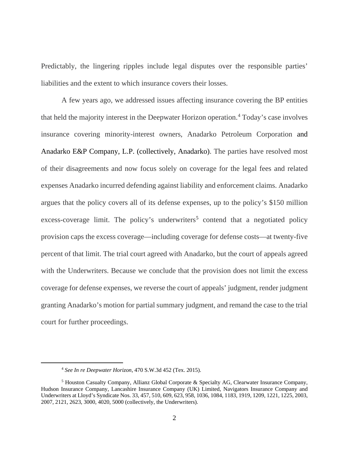Predictably, the lingering ripples include legal disputes over the responsible parties' liabilities and the extent to which insurance covers their losses.

A few years ago, we addressed issues affecting insurance covering the BP entities that held the majority interest in the Deepwater Horizon operation.<sup>[4](#page-1-0)</sup> Today's case involves insurance covering minority-interest owners, Anadarko Petroleum Corporation and Anadarko E&P Company, L.P. (collectively, Anadarko). The parties have resolved most of their disagreements and now focus solely on coverage for the legal fees and related expenses Anadarko incurred defending against liability and enforcement claims. Anadarko argues that the policy covers all of its defense expenses, up to the policy's \$150 million excess-coverage limit. The policy's underwriters<sup>[5](#page-1-1)</sup> contend that a negotiated policy provision caps the excess coverage—including coverage for defense costs—at twenty-five percent of that limit. The trial court agreed with Anadarko, but the court of appeals agreed with the Underwriters. Because we conclude that the provision does not limit the excess coverage for defense expenses, we reverse the court of appeals' judgment, render judgment granting Anadarko's motion for partial summary judgment, and remand the case to the trial court for further proceedings.

<span id="page-1-0"></span>

<sup>4</sup> *See In re Deepwater Horizon*, 470 S.W.3d 452 (Tex. 2015).

<span id="page-1-1"></span><sup>5</sup> Houston Casualty Company, Allianz Global Corporate & Specialty AG, Clearwater Insurance Company, Hudson Insurance Company, Lancashire Insurance Company (UK) Limited, Navigators Insurance Company and Underwriters at Lloyd's Syndicate Nos. 33, 457, 510, 609, 623, 958, 1036, 1084, 1183, 1919, 1209, 1221, 1225, 2003, 2007, 2121, 2623, 3000, 4020, 5000 (collectively, the Underwriters).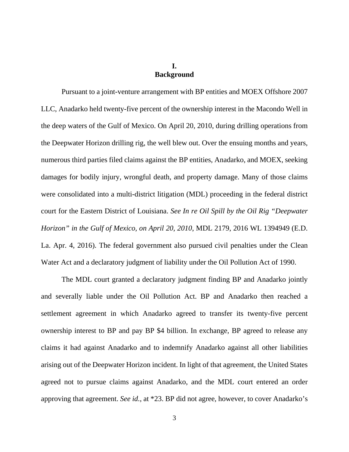# **I. Background**

Pursuant to a joint-venture arrangement with BP entities and MOEX Offshore 2007 LLC, Anadarko held twenty-five percent of the ownership interest in the Macondo Well in the deep waters of the Gulf of Mexico. On April 20, 2010, during drilling operations from the Deepwater Horizon drilling rig, the well blew out. Over the ensuing months and years, numerous third parties filed claims against the BP entities, Anadarko, and MOEX, seeking damages for bodily injury, wrongful death, and property damage. Many of those claims were consolidated into a multi-district litigation (MDL) proceeding in the federal district court for the Eastern District of Louisiana. *See In re Oil Spill by the Oil Rig "Deepwater Horizon" in the Gulf of Mexico, on April 20, 2010*, MDL 2179, 2016 WL 1394949 (E.D. La. Apr. 4, 2016). The federal government also pursued civil penalties under the Clean Water Act and a declaratory judgment of liability under the Oil Pollution Act of 1990.

The MDL court granted a declaratory judgment finding BP and Anadarko jointly and severally liable under the Oil Pollution Act. BP and Anadarko then reached a settlement agreement in which Anadarko agreed to transfer its twenty-five percent ownership interest to BP and pay BP \$4 billion. In exchange, BP agreed to release any claims it had against Anadarko and to indemnify Anadarko against all other liabilities arising out of the Deepwater Horizon incident. In light of that agreement, the United States agreed not to pursue claims against Anadarko, and the MDL court entered an order approving that agreement. *See id.*, at \*23. BP did not agree, however, to cover Anadarko's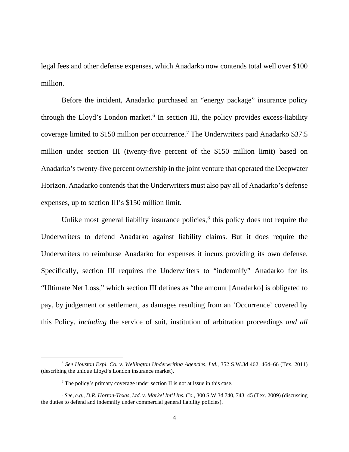legal fees and other defense expenses, which Anadarko now contends total well over \$100 million.

Before the incident, Anadarko purchased an "energy package" insurance policy through the Lloyd's London market.<sup>[6](#page-3-0)</sup> In section III, the policy provides excess-liability coverage limited to \$150 million per occurrence.[7](#page-3-1) The Underwriters paid Anadarko \$37.5 million under section III (twenty-five percent of the \$150 million limit) based on Anadarko's twenty-five percent ownership in the joint venture that operated the Deepwater Horizon. Anadarko contends that the Underwriters must also pay all of Anadarko's defense expenses, up to section III's \$150 million limit.

Unlike most general liability insurance policies, $\delta$  this policy does not require the Underwriters to defend Anadarko against liability claims. But it does require the Underwriters to reimburse Anadarko for expenses it incurs providing its own defense. Specifically, section III requires the Underwriters to "indemnify" Anadarko for its "Ultimate Net Loss," which section III defines as "the amount [Anadarko] is obligated to pay, by judgement or settlement, as damages resulting from an 'Occurrence' covered by this Policy, *including* the service of suit, institution of arbitration proceedings *and all* 

<span id="page-3-0"></span><sup>6</sup> *See Houston Expl. Co. v. Wellington Underwriting Agencies, Ltd.*, 352 S.W.3d 462, 464–66 (Tex. 2011) (describing the unique Lloyd's London insurance market).

<sup>7</sup> The policy's primary coverage under section II is not at issue in this case.

<span id="page-3-2"></span><span id="page-3-1"></span><sup>8</sup> *See, e.g.*, *D.R. Horton-Texas, Ltd. v. Markel Int'l Ins. Co.*, 300 S.W.3d 740, 743–45 (Tex. 2009) (discussing the duties to defend and indemnify under commercial general liability policies).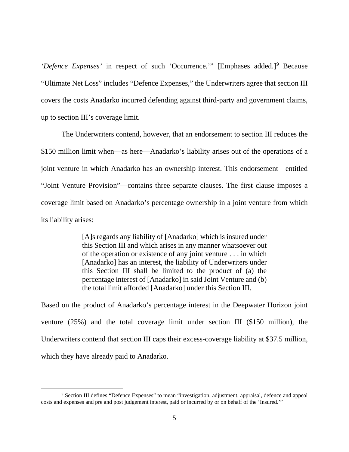'Defence Expenses' in respect of such 'Occurrence.'" [Emphases added.]<sup>[9](#page-4-0)</sup> Because "Ultimate Net Loss" includes "Defence Expenses," the Underwriters agree that section III covers the costs Anadarko incurred defending against third-party and government claims, up to section III's coverage limit.

The Underwriters contend, however, that an endorsement to section III reduces the \$150 million limit when—as here—Anadarko's liability arises out of the operations of a joint venture in which Anadarko has an ownership interest. This endorsement—entitled "Joint Venture Provision"—contains three separate clauses. The first clause imposes a coverage limit based on Anadarko's percentage ownership in a joint venture from which its liability arises:

> [A]s regards any liability of [Anadarko] which is insured under this Section III and which arises in any manner whatsoever out of the operation or existence of any joint venture . . . in which [Anadarko] has an interest, the liability of Underwriters under this Section III shall be limited to the product of (a) the percentage interest of [Anadarko] in said Joint Venture and (b) the total limit afforded [Anadarko] under this Section III.

Based on the product of Anadarko's percentage interest in the Deepwater Horizon joint venture (25%) and the total coverage limit under section III (\$150 million), the Underwriters contend that section III caps their excess-coverage liability at \$37.5 million, which they have already paid to Anadarko.

<span id="page-4-0"></span><sup>9</sup> Section III defines "Defence Expenses" to mean "investigation, adjustment, appraisal, defence and appeal costs and expenses and pre and post judgement interest, paid or incurred by or on behalf of the 'Insured.'"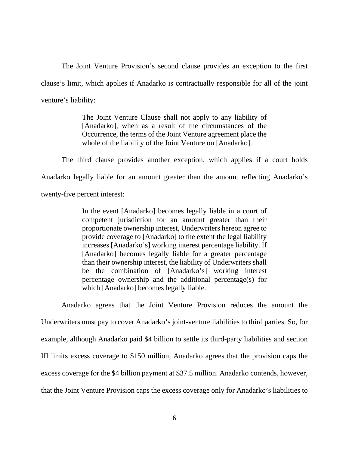The Joint Venture Provision's second clause provides an exception to the first clause's limit, which applies if Anadarko is contractually responsible for all of the joint venture's liability:

> The Joint Venture Clause shall not apply to any liability of [Anadarko], when as a result of the circumstances of the Occurrence, the terms of the Joint Venture agreement place the whole of the liability of the Joint Venture on [Anadarko].

The third clause provides another exception, which applies if a court holds Anadarko legally liable for an amount greater than the amount reflecting Anadarko's twenty-five percent interest:

> In the event [Anadarko] becomes legally liable in a court of competent jurisdiction for an amount greater than their proportionate ownership interest, Underwriters hereon agree to provide coverage to [Anadarko] to the extent the legal liability increases [Anadarko's] working interest percentage liability. If [Anadarko] becomes legally liable for a greater percentage than their ownership interest, the liability of Underwriters shall be the combination of [Anadarko's] working interest percentage ownership and the additional percentage(s) for which [Anadarko] becomes legally liable.

Anadarko agrees that the Joint Venture Provision reduces the amount the Underwriters must pay to cover Anadarko's joint-venture liabilities to third parties. So, for example, although Anadarko paid \$4 billion to settle its third-party liabilities and section III limits excess coverage to \$150 million, Anadarko agrees that the provision caps the excess coverage for the \$4 billion payment at \$37.5 million. Anadarko contends, however, that the Joint Venture Provision caps the excess coverage only for Anadarko's liabilities to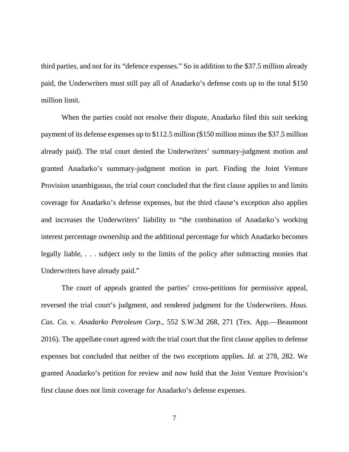third parties, and not for its "defence expenses." So in addition to the \$37.5 million already paid, the Underwriters must still pay all of Anadarko's defense costs up to the total \$150 million limit.

When the parties could not resolve their dispute, Anadarko filed this suit seeking payment of its defense expenses up to \$112.5 million (\$150 million minus the \$37.5 million already paid). The trial court denied the Underwriters' summary-judgment motion and granted Anadarko's summary-judgment motion in part. Finding the Joint Venture Provision unambiguous, the trial court concluded that the first clause applies to and limits coverage for Anadarko's defense expenses, but the third clause's exception also applies and increases the Underwriters' liability to "the combination of Anadarko's working interest percentage ownership and the additional percentage for which Anadarko becomes legally liable, . . . subject only to the limits of the policy after subtracting monies that Underwriters have already paid."

The court of appeals granted the parties' cross-petitions for permissive appeal, reversed the trial court's judgment, and rendered judgment for the Underwriters. *Hous. Cas. Co. v. Anadarko Petroleum Corp.*, 552 S.W.3d 268, 271 (Tex. App.—Beaumont 2016). The appellate court agreed with the trial court that the first clause applies to defense expenses but concluded that neither of the two exceptions applies. *Id.* at 278, 282. We granted Anadarko's petition for review and now hold that the Joint Venture Provision's first clause does not limit coverage for Anadarko's defense expenses.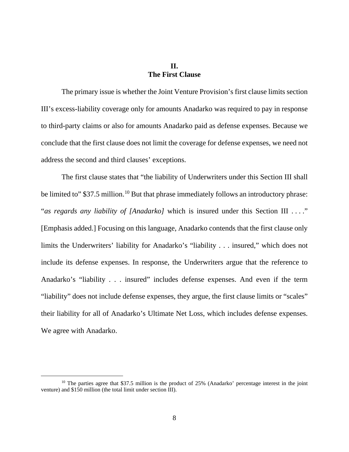# **II. The First Clause**

The primary issue is whether the Joint Venture Provision's first clause limits section III's excess-liability coverage only for amounts Anadarko was required to pay in response to third-party claims or also for amounts Anadarko paid as defense expenses. Because we conclude that the first clause does not limit the coverage for defense expenses, we need not address the second and third clauses' exceptions.

The first clause states that "the liability of Underwriters under this Section III shall be limited to" \$37.5 million.<sup>[10](#page-7-0)</sup> But that phrase immediately follows an introductory phrase: "*as regards any liability of [Anadarko]* which is insured under this Section III . . . ." [Emphasis added.] Focusing on this language, Anadarko contends that the first clause only limits the Underwriters' liability for Anadarko's "liability . . . insured," which does not include its defense expenses. In response, the Underwriters argue that the reference to Anadarko's "liability . . . insured" includes defense expenses. And even if the term "liability" does not include defense expenses, they argue, the first clause limits or "scales" their liability for all of Anadarko's Ultimate Net Loss, which includes defense expenses. We agree with Anadarko.

<span id="page-7-0"></span><sup>&</sup>lt;sup>10</sup> The parties agree that \$37.5 million is the product of 25% (Anadarko' percentage interest in the joint venture) and \$150 million (the total limit under section III).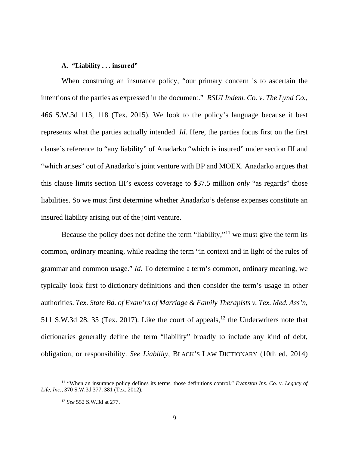#### **A. "Liability . . . insured"**

When construing an insurance policy, "our primary concern is to ascertain the intentions of the parties as expressed in the document." *RSUI Indem. Co. v. The Lynd Co.*, 466 S.W.3d 113, 118 (Tex. 2015). We look to the policy's language because it best represents what the parties actually intended. *Id.* Here, the parties focus first on the first clause's reference to "any liability" of Anadarko "which is insured" under section III and "which arises" out of Anadarko's joint venture with BP and MOEX. Anadarko argues that this clause limits section III's excess coverage to \$37.5 million *only* "as regards" those liabilities. So we must first determine whether Anadarko's defense expenses constitute an insured liability arising out of the joint venture.

Because the policy does not define the term "liability,"<sup>[11](#page-8-0)</sup> we must give the term its common, ordinary meaning, while reading the term "in context and in light of the rules of grammar and common usage." *Id.* To determine a term's common, ordinary meaning, we typically look first to dictionary definitions and then consider the term's usage in other authorities. *Tex. State Bd. of Exam'rs of Marriage & Family Therapists v. Tex. Med. Ass'n*, 511 S.W.3d 28, 35 (Tex. 2017). Like the court of appeals,  $12$  the Underwriters note that dictionaries generally define the term "liability" broadly to include any kind of debt, obligation, or responsibility. *See Liability*, BLACK'S LAW DICTIONARY (10th ed. 2014)

<span id="page-8-1"></span><span id="page-8-0"></span><sup>11</sup> "When an insurance policy defines its terms, those definitions control." *Evanston Ins. Co. v. Legacy of Life, Inc.*, 370 S.W.3d 377, 381 (Tex. 2012).

<sup>12</sup> *See* 552 S.W.3d at 277.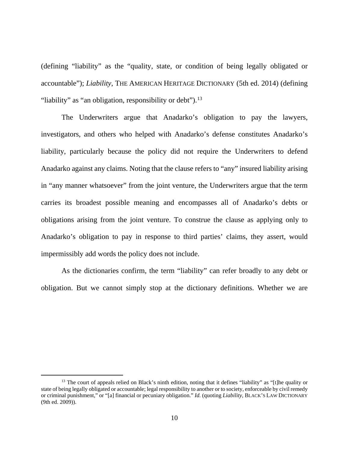(defining "liability" as the "quality, state, or condition of being legally obligated or accountable"); *Liability*, THE AMERICAN HERITAGE DICTIONARY (5th ed. 2014) (defining "liability" as "an obligation, responsibility or debt").<sup>[13](#page-9-0)</sup>

The Underwriters argue that Anadarko's obligation to pay the lawyers, investigators, and others who helped with Anadarko's defense constitutes Anadarko's liability, particularly because the policy did not require the Underwriters to defend Anadarko against any claims. Noting that the clause refers to "any" insured liability arising in "any manner whatsoever" from the joint venture, the Underwriters argue that the term carries its broadest possible meaning and encompasses all of Anadarko's debts or obligations arising from the joint venture. To construe the clause as applying only to Anadarko's obligation to pay in response to third parties' claims, they assert, would impermissibly add words the policy does not include.

As the dictionaries confirm, the term "liability" can refer broadly to any debt or obligation. But we cannot simply stop at the dictionary definitions. Whether we are

<span id="page-9-0"></span><sup>&</sup>lt;sup>13</sup> The court of appeals relied on Black's ninth edition, noting that it defines "liability" as "[t]he quality or state of being legally obligated or accountable; legal responsibility to another or to society, enforceable by civil remedy or criminal punishment," or "[a] financial or pecuniary obligation." *Id.* (quoting *Liability*, BLACK'S LAW DICTIONARY (9th ed. 2009)).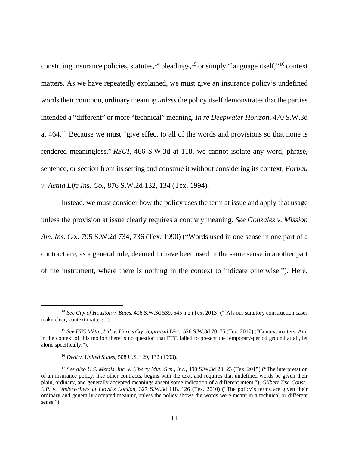construing insurance policies, statutes,  $^{14}$  $^{14}$  $^{14}$  pleadings,  $^{15}$  $^{15}$  $^{15}$  or simply "language itself,"<sup>[16](#page-10-2)</sup> context matters. As we have repeatedly explained, we must give an insurance policy's undefined words their common, ordinary meaning *unless*the policy itself demonstrates that the parties intended a "different" or more "technical" meaning. *In re Deepwater Horizon*, 470 S.W.3d at 464.[17](#page-10-3) Because we must "give effect to all of the words and provisions so that none is rendered meaningless," *RSUI*, 466 S.W.3d at 118, we cannot isolate any word, phrase, sentence, or section from its setting and construe it without considering its context, *Forbau v. Aetna Life Ins. Co.*, 876 S.W.2d 132, 134 (Tex. 1994).

Instead, we must consider how the policy uses the term at issue and apply that usage unless the provision at issue clearly requires a contrary meaning. *See Gonzalez v. Mission Am. Ins. Co.*, 795 S.W.2d 734, 736 (Tex. 1990) ("Words used in one sense in one part of a contract are, as a general rule, deemed to have been used in the same sense in another part of the instrument, where there is nothing in the context to indicate otherwise."). Here,

<span id="page-10-0"></span><sup>14</sup> *See City of Houston v. Bates*, 406 S.W.3d 539, 545 n.2 (Tex. 2013) ("[A]s our statutory construction cases make clear, context matters.").

<span id="page-10-1"></span><sup>15</sup> *See ETC Mktg., Ltd. v. Harris Cty. Appraisal Dist.*, 528 S.W.3d 70, 75 (Tex. 2017) ("Context matters. And in the context of this motion there is no question that ETC failed to present the temporary-period ground at all, let alone specifically.").

<sup>16</sup> *Deal v. United States*, 508 U.S. 129, 132 (1993).

<span id="page-10-3"></span><span id="page-10-2"></span><sup>17</sup> *See also U.S. Metals, Inc. v. Liberty Mut. Grp., Inc.*, 490 S.W.3d 20, 23 (Tex. 2015) ("The interpretation of an insurance policy, like other contracts, begins with the text, and requires that undefined words be given their plain, ordinary, and generally accepted meanings absent some indication of a different intent."); *Gilbert Tex. Const., L.P. v. Underwriters at Lloyd's London*, 327 S.W.3d 118, 126 (Tex. 2010) ("The policy's terms are given their ordinary and generally-accepted meaning unless the policy shows the words were meant in a technical or different sense.").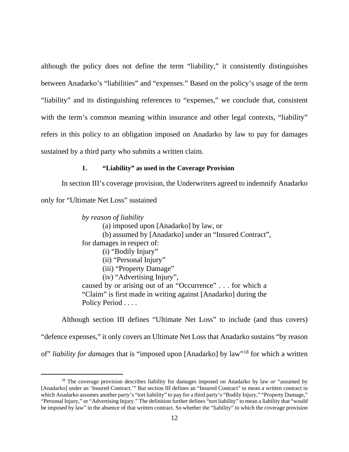although the policy does not define the term "liability," it consistently distinguishes between Anadarko's "liabilities" and "expenses." Based on the policy's usage of the term "liability" and its distinguishing references to "expenses," we conclude that, consistent with the term's common meaning within insurance and other legal contexts, "liability" refers in this policy to an obligation imposed on Anadarko by law to pay for damages sustained by a third party who submits a written claim.

## **1. "Liability" as used in the Coverage Provision**

In section III's coverage provision, the Underwriters agreed to indemnify Anadarko

only for "Ultimate Net Loss" sustained

 $\overline{a}$ 

*by reason of liability* 

(a) imposed upon [Anadarko] by law, or

(b) assumed by [Anadarko] under an "Insured Contract",

for damages in respect of:

- (i) "Bodily Injury"
- (ii) "Personal Injury"
- (iii) "Property Damage"
- (iv) "Advertising Injury",

caused by or arising out of an "Occurrence" . . . for which a "Claim" is first made in writing against [Anadarko] during the Policy Period . . . .

Although section III defines "Ultimate Net Loss" to include (and thus covers) "defence expenses," it only covers an Ultimate Net Loss that Anadarko sustains "by reason

of" *liability for damages* that is "imposed upon [Anadarko] by law"[18](#page-11-0) for which a written

<span id="page-11-0"></span><sup>&</sup>lt;sup>18</sup> The coverage provision describes liability for damages imposed on Anadarko by law *or* "assumed by [Anadarko] under an 'Insured Contract.'" But section III defines an "Insured Contract" to mean a written contract in which Anadarko assumes another party's "tort liability" to pay for a third party's "Bodily Injury," "Property Damage," "Personal Injury," or "Advertising Injury." The definition further defines "tort liability" to mean a liability that "would be imposed by law" in the absence of that written contract. So whether the "liability" to which the coverage provision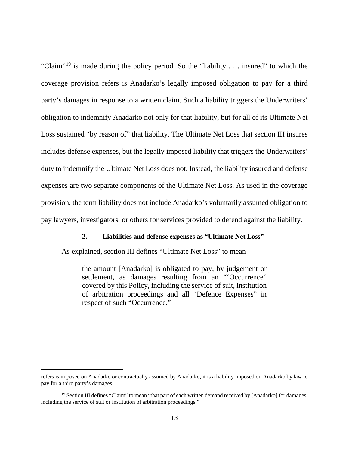"Claim"[19](#page-12-0) is made during the policy period. So the "liability . . . insured" to which the coverage provision refers is Anadarko's legally imposed obligation to pay for a third party's damages in response to a written claim. Such a liability triggers the Underwriters' obligation to indemnify Anadarko not only for that liability, but for all of its Ultimate Net Loss sustained "by reason of" that liability. The Ultimate Net Loss that section III insures includes defense expenses, but the legally imposed liability that triggers the Underwriters' duty to indemnify the Ultimate Net Loss does not. Instead, the liability insured and defense expenses are two separate components of the Ultimate Net Loss. As used in the coverage provision, the term liability does not include Anadarko's voluntarily assumed obligation to pay lawyers, investigators, or others for services provided to defend against the liability.

#### **2. Liabilities and defense expenses as "Ultimate Net Loss"**

As explained, section III defines "Ultimate Net Loss" to mean

the amount [Anadarko] is obligated to pay, by judgement or settlement, as damages resulting from an "'Occurrence" covered by this Policy, including the service of suit, institution of arbitration proceedings and all "Defence Expenses" in respect of such "Occurrence."

refers is imposed on Anadarko or contractually assumed by Anadarko, it is a liability imposed on Anadarko by law to pay for a third party's damages.

<span id="page-12-0"></span><sup>&</sup>lt;sup>19</sup> Section III defines "Claim" to mean "that part of each written demand received by [Anadarko] for damages, including the service of suit or institution of arbitration proceedings."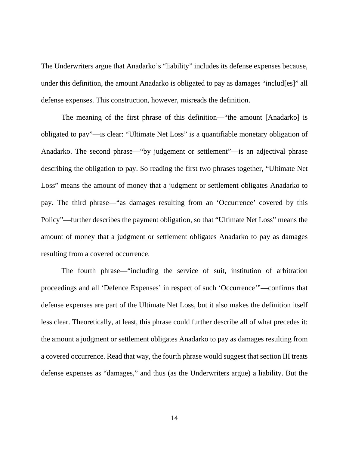The Underwriters argue that Anadarko's "liability" includes its defense expenses because, under this definition, the amount Anadarko is obligated to pay as damages "includ[es]" all defense expenses. This construction, however, misreads the definition.

The meaning of the first phrase of this definition—"the amount [Anadarko] is obligated to pay"—is clear: "Ultimate Net Loss" is a quantifiable monetary obligation of Anadarko. The second phrase—"by judgement or settlement"—is an adjectival phrase describing the obligation to pay. So reading the first two phrases together, "Ultimate Net Loss" means the amount of money that a judgment or settlement obligates Anadarko to pay. The third phrase—"as damages resulting from an 'Occurrence' covered by this Policy"—further describes the payment obligation, so that "Ultimate Net Loss" means the amount of money that a judgment or settlement obligates Anadarko to pay as damages resulting from a covered occurrence.

The fourth phrase—"including the service of suit, institution of arbitration proceedings and all 'Defence Expenses' in respect of such 'Occurrence'"—confirms that defense expenses are part of the Ultimate Net Loss, but it also makes the definition itself less clear. Theoretically, at least, this phrase could further describe all of what precedes it: the amount a judgment or settlement obligates Anadarko to pay as damages resulting from a covered occurrence. Read that way, the fourth phrase would suggest that section III treats defense expenses as "damages," and thus (as the Underwriters argue) a liability. But the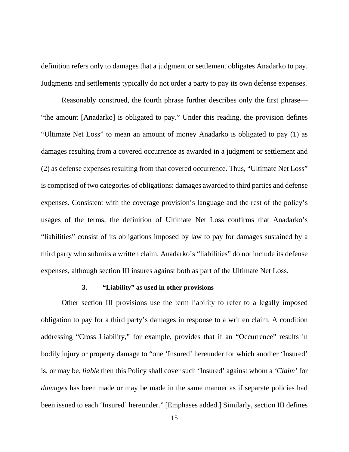definition refers only to damages that a judgment or settlement obligates Anadarko to pay. Judgments and settlements typically do not order a party to pay its own defense expenses.

Reasonably construed, the fourth phrase further describes only the first phrase— "the amount [Anadarko] is obligated to pay." Under this reading, the provision defines "Ultimate Net Loss" to mean an amount of money Anadarko is obligated to pay (1) as damages resulting from a covered occurrence as awarded in a judgment or settlement and (2) as defense expenses resulting from that covered occurrence. Thus, "Ultimate Net Loss" is comprised of two categories of obligations: damages awarded to third parties and defense expenses. Consistent with the coverage provision's language and the rest of the policy's usages of the terms, the definition of Ultimate Net Loss confirms that Anadarko's "liabilities" consist of its obligations imposed by law to pay for damages sustained by a third party who submits a written claim. Anadarko's "liabilities" do not include its defense expenses, although section III insures against both as part of the Ultimate Net Loss.

## **3. "Liability" as used in other provisions**

Other section III provisions use the term liability to refer to a legally imposed obligation to pay for a third party's damages in response to a written claim. A condition addressing "Cross Liability," for example, provides that if an "Occurrence" results in bodily injury or property damage to "one 'Insured' hereunder for which another 'Insured' is, or may be, *liable* then this Policy shall cover such 'Insured' against whom a *'Claim'* for *damages* has been made or may be made in the same manner as if separate policies had been issued to each 'Insured' hereunder." [Emphases added.] Similarly, section III defines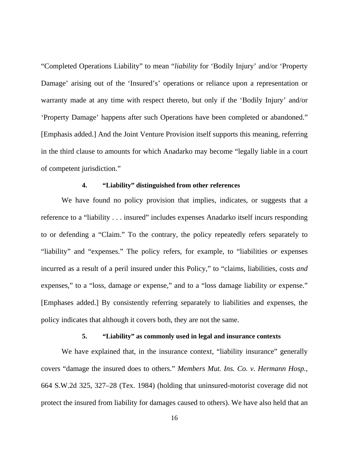"Completed Operations Liability" to mean "*liability* for 'Bodily Injury' and/or 'Property Damage' arising out of the 'Insured's' operations or reliance upon a representation or warranty made at any time with respect thereto, but only if the 'Bodily Injury' and/or 'Property Damage' happens after such Operations have been completed or abandoned." [Emphasis added.] And the Joint Venture Provision itself supports this meaning, referring in the third clause to amounts for which Anadarko may become "legally liable in a court of competent jurisdiction."

# **4. "Liability" distinguished from other references**

We have found no policy provision that implies, indicates, or suggests that a reference to a "liability . . . insured" includes expenses Anadarko itself incurs responding to or defending a "Claim." To the contrary, the policy repeatedly refers separately to "liability" and "expenses." The policy refers, for example, to "liabilities *or* expenses incurred as a result of a peril insured under this Policy," to "claims, liabilities, costs *and* expenses," to a "loss, damage *or* expense," and to a "loss damage liability *or* expense." [Emphases added.] By consistently referring separately to liabilities and expenses, the policy indicates that although it covers both, they are not the same.

## **5. "Liability" as commonly used in legal and insurance contexts**

We have explained that, in the insurance context, "liability insurance" generally covers "damage the insured does to others." *Members Mut. Ins. Co. v. Hermann Hosp.*, 664 S.W.2d 325, 327–28 (Tex. 1984) (holding that uninsured-motorist coverage did not protect the insured from liability for damages caused to others). We have also held that an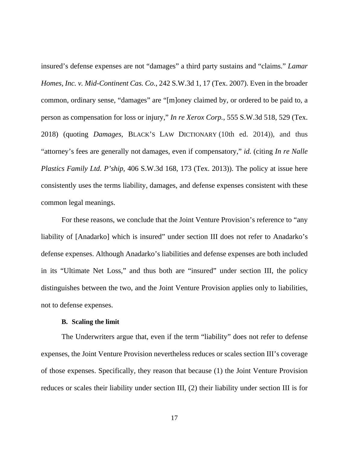insured's defense expenses are not "damages" a third party sustains and "claims." *Lamar Homes, Inc. v. Mid-Continent Cas. Co.*, 242 S.W.3d 1, 17 (Tex. 2007). Even in the broader common, ordinary sense, "damages" are "[m]oney claimed by, or ordered to be paid to, a person as compensation for loss or injury," *In re Xerox Corp.*, 555 S.W.3d 518, 529 (Tex. 2018) (quoting *Damages*, BLACK'S LAW DICTIONARY (10th ed. 2014)), and thus "attorney's fees are generally not damages, even if compensatory," *id.* (citing *In re Nalle Plastics Family Ltd. P'ship*, 406 S.W.3d 168, 173 (Tex. 2013)). The policy at issue here consistently uses the terms liability, damages, and defense expenses consistent with these common legal meanings.

For these reasons, we conclude that the Joint Venture Provision's reference to "any liability of [Anadarko] which is insured" under section III does not refer to Anadarko's defense expenses. Although Anadarko's liabilities and defense expenses are both included in its "Ultimate Net Loss," and thus both are "insured" under section III, the policy distinguishes between the two, and the Joint Venture Provision applies only to liabilities, not to defense expenses.

#### **B. Scaling the limit**

The Underwriters argue that, even if the term "liability" does not refer to defense expenses, the Joint Venture Provision nevertheless reduces or scales section III's coverage of those expenses. Specifically, they reason that because (1) the Joint Venture Provision reduces or scales their liability under section III, (2) their liability under section III is for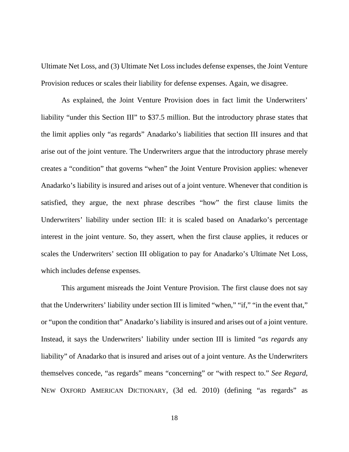Ultimate Net Loss, and (3) Ultimate Net Loss includes defense expenses, the Joint Venture Provision reduces or scales their liability for defense expenses. Again, we disagree.

As explained, the Joint Venture Provision does in fact limit the Underwriters' liability "under this Section III" to \$37.5 million. But the introductory phrase states that the limit applies only "as regards" Anadarko's liabilities that section III insures and that arise out of the joint venture. The Underwriters argue that the introductory phrase merely creates a "condition" that governs "when" the Joint Venture Provision applies: whenever Anadarko's liability is insured and arises out of a joint venture. Whenever that condition is satisfied, they argue, the next phrase describes "how" the first clause limits the Underwriters' liability under section III: it is scaled based on Anadarko's percentage interest in the joint venture. So, they assert, when the first clause applies, it reduces or scales the Underwriters' section III obligation to pay for Anadarko's Ultimate Net Loss, which includes defense expenses.

This argument misreads the Joint Venture Provision. The first clause does not say that the Underwriters' liability under section III is limited "when," "if," "in the event that," or "upon the condition that" Anadarko's liability is insured and arises out of a joint venture. Instead, it says the Underwriters' liability under section III is limited "*as regards* any liability" of Anadarko that is insured and arises out of a joint venture. As the Underwriters themselves concede, "as regards" means "concerning" or "with respect to." *See Regard*, NEW OXFORD AMERICAN DICTIONARY, (3d ed. 2010) (defining "as regards" as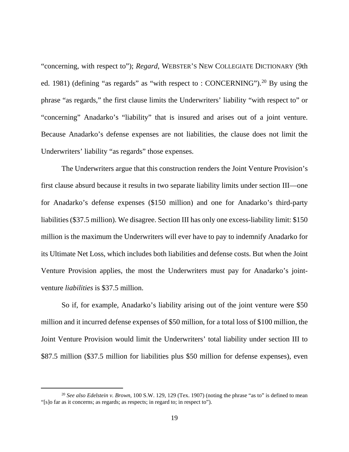"concerning, with respect to"); *Regard*, WEBSTER'S NEW COLLEGIATE DICTIONARY (9th ed. 1981) (defining "as regards" as "with respect to : CONCERNING").<sup>[20](#page-18-0)</sup> By using the phrase "as regards," the first clause limits the Underwriters' liability "with respect to" or "concerning" Anadarko's "liability" that is insured and arises out of a joint venture. Because Anadarko's defense expenses are not liabilities, the clause does not limit the Underwriters' liability "as regards" those expenses.

The Underwriters argue that this construction renders the Joint Venture Provision's first clause absurd because it results in two separate liability limits under section III—one for Anadarko's defense expenses (\$150 million) and one for Anadarko's third-party liabilities (\$37.5 million). We disagree. Section III has only one excess-liability limit: \$150 million is the maximum the Underwriters will ever have to pay to indemnify Anadarko for its Ultimate Net Loss, which includes both liabilities and defense costs. But when the Joint Venture Provision applies, the most the Underwriters must pay for Anadarko's jointventure *liabilities* is \$37.5 million.

So if, for example, Anadarko's liability arising out of the joint venture were \$50 million and it incurred defense expenses of \$50 million, for a total loss of \$100 million, the Joint Venture Provision would limit the Underwriters' total liability under section III to \$87.5 million (\$37.5 million for liabilities plus \$50 million for defense expenses), even

<span id="page-18-0"></span><sup>20</sup> *See also Edelstein v. Brown*, 100 S.W. 129, 129 (Tex. 1907) (noting the phrase "as to" is defined to mean "[s]o far as it concerns; as regards; as respects; in regard to; in respect to").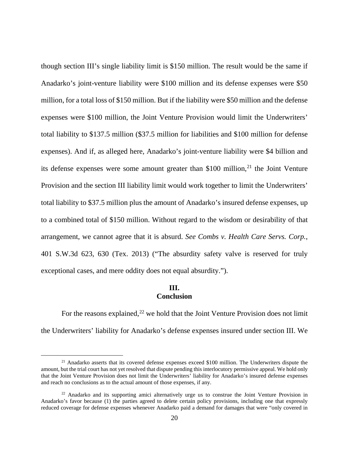though section III's single liability limit is \$150 million. The result would be the same if Anadarko's joint-venture liability were \$100 million and its defense expenses were \$50 million, for a total loss of \$150 million. But if the liability were \$50 million and the defense expenses were \$100 million, the Joint Venture Provision would limit the Underwriters' total liability to \$137.5 million (\$37.5 million for liabilities and \$100 million for defense expenses). And if, as alleged here, Anadarko's joint-venture liability were \$4 billion and its defense expenses were some amount greater than  $$100$  million,<sup>21</sup> the Joint Venture Provision and the section III liability limit would work together to limit the Underwriters' total liability to \$37.5 million plus the amount of Anadarko's insured defense expenses, up to a combined total of \$150 million. Without regard to the wisdom or desirability of that arrangement, we cannot agree that it is absurd. *See Combs v. Health Care Servs. Corp.*, 401 S.W.3d 623, 630 (Tex. 2013) ("The absurdity safety valve is reserved for truly exceptional cases, and mere oddity does not equal absurdity.").

## **III. Conclusion**

For the reasons explained,<sup>[22](#page-19-1)</sup> we hold that the Joint Venture Provision does not limit the Underwriters' liability for Anadarko's defense expenses insured under section III. We

<span id="page-19-0"></span><sup>&</sup>lt;sup>21</sup> Anadarko asserts that its covered defense expenses exceed \$100 million. The Underwriters dispute the amount, but the trial court has not yet resolved that dispute pending this interlocutory permissive appeal. We hold only that the Joint Venture Provision does not limit the Underwriters' liability for Anadarko's insured defense expenses and reach no conclusions as to the actual amount of those expenses, if any.

<span id="page-19-1"></span> $22$  Anadarko and its supporting amici alternatively urge us to construe the Joint Venture Provision in Anadarko's favor because (1) the parties agreed to delete certain policy provisions, including one that expressly reduced coverage for defense expenses whenever Anadarko paid a demand for damages that were "only covered in